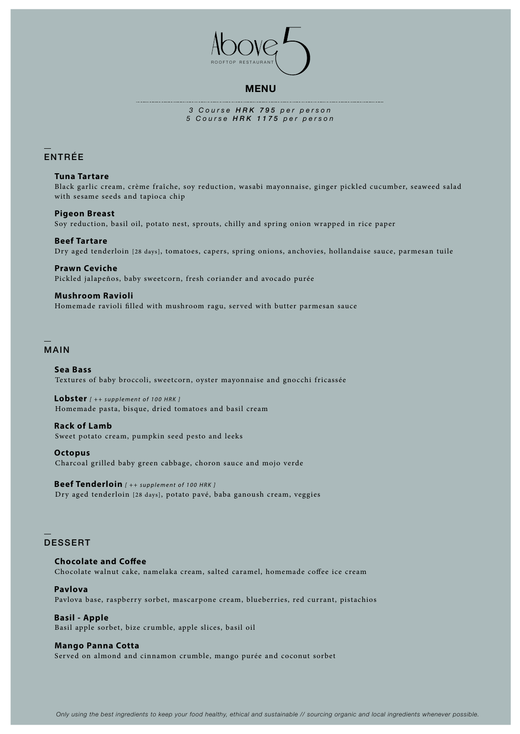

## **MENU**

*3 Course HRK 795 per person 5 Course HRK 1175 per person*

# ENTRÉE

#### **Tuna Tartare**

Black garlic cream, crème fraîche, soy reduction, wasabi mayonnaise, ginger pickled cucumber, seaweed salad with sesame seeds and tapioca chip

## **Pigeon Breast**

Soy reduction, basil oil, potato nest, sprouts, chilly and spring onion wrapped in rice paper

## **Beef Tartare** Dry aged tenderloin [28 days], tomatoes, capers, spring onions, anchovies, hollandaise sauce, parmesan tuile

**Prawn Ceviche** Pickled jalapeños, baby sweetcorn, fresh coriander and avocado purée

### **Mushroom Ravioli**

Homemade ravioli filled with mushroom ragu, served with butter parmesan sauce

# MAIN

### **Sea Bass**

Textures of baby broccoli, sweetcorn, oyster mayonnaise and gnocchi fricassée

**Lobster** *[ ++ supplement of 100 HRK ]* Homemade pasta, bisque, dried tomatoes and basil cream

## **Rack of Lamb**

Sweet potato cream, pumpkin seed pesto and leeks

#### **Octopus**

Charcoal grilled baby green cabbage, choron sauce and mojo verde

**Beef Tenderloin** *[ ++ supplement of 100 HRK ]* Dry aged tenderloin [28 days], potato pavé, baba ganoush cream, veggies

## DESSERT

**Chocolate and Coffee** Chocolate walnut cake, namelaka cream, salted caramel, homemade coffee ice cream

#### **Pavlova** Pavlova base, raspberry sorbet, mascarpone cream, blueberries, red currant, pistachios

**Basil - Apple** Basil apple sorbet, bize crumble, apple slices, basil oil

### **Mango Panna Cotta**

Served on almond and cinnamon crumble, mango purée and coconut sorbet